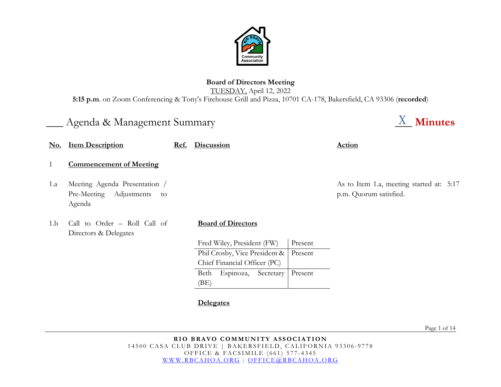

# **Board of Directors Meeting** TUESDAY, April 12, 2022 **5:15 p.m**. on Zoom Conferencing & Tony's Firehouse Grill and Pizza, 10701 CA-178, Bakersfield, CA 93306 (**recorded**)

# Agenda & Management Summary **Minutes**  $\frac{X}{X}$  **Minutes**

| $\mathbf{No.}$ | <b>Item Description</b>                                                  | Ref. | Discussion                    |         | Action                                                             |
|----------------|--------------------------------------------------------------------------|------|-------------------------------|---------|--------------------------------------------------------------------|
|                | <b>Commencement of Meeting</b>                                           |      |                               |         |                                                                    |
| 1.a            | Meeting Agenda Presentation /<br>Pre-Meeting Adjustments<br>to<br>Agenda |      |                               |         | As to Item 1.a, meeting started at: 5:17<br>p.m. Quorum satisfied. |
| 1.b            | Call to Order - Roll Call of<br>Directors & Delegates                    |      | <b>Board of Directors</b>     |         |                                                                    |
|                |                                                                          |      | Fred Wiley, President (FW)    | Present |                                                                    |
|                |                                                                          |      | Phil Crosby, Vice President & | Present |                                                                    |
|                |                                                                          |      | Chief Financial Officer (PC)  |         |                                                                    |

Present

**Delegates**

(BE)

Page 1 of 14

Beth Espinoza, Secretary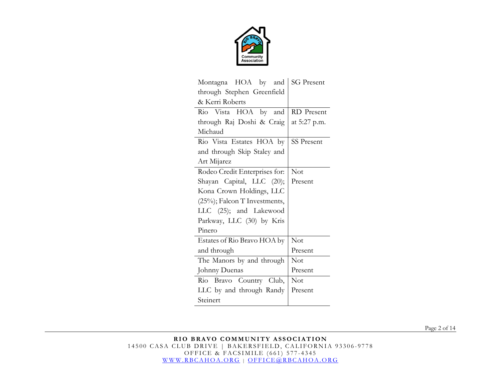

| Montagna HOA by and           | <b>SG</b> Present |
|-------------------------------|-------------------|
| through Stephen Greenfield    |                   |
| & Kerri Roberts               |                   |
| Rio Vista HOA by and          | RD Present        |
| through Raj Doshi & Craig     | at 5:27 p.m.      |
| Michaud                       |                   |
| Rio Vista Estates HOA by      | <b>SS Present</b> |
| and through Skip Staley and   |                   |
| Art Mijarez                   |                   |
| Rodeo Credit Enterprises for: | Not               |
| Shayan Capital, LLC (20);     | Present           |
| Kona Crown Holdings, LLC      |                   |
| (25%); Falcon T Investments,  |                   |
| LLC (25); and Lakewood        |                   |
| Parkway, LLC (30) by Kris     |                   |
| Pinero                        |                   |
| Estates of Rio Bravo HOA by   | Not               |
| and through                   | Present           |
| The Manors by and through     | Not               |
| Johnny Duenas                 | Present           |
| Rio Bravo Country Club,       | Not               |
| LLC by and through Randy      | Present           |
| Steinert                      |                   |

Page 2 of 14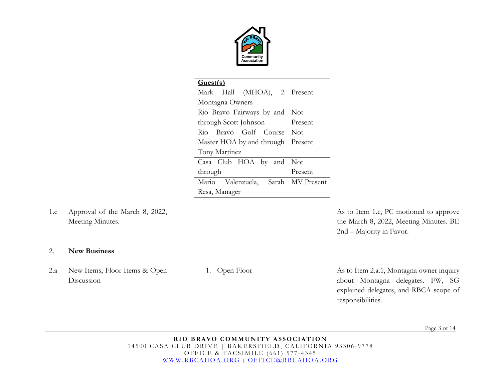

| Guest(s)                      |                   |
|-------------------------------|-------------------|
| Mark Hall (MHOA), 2 Present   |                   |
| Montagna Owners               |                   |
| Rio Bravo Fairways by and     | Not               |
| through Scott Johnson         | Present           |
| Rio Bravo Golf Course         | <b>Not</b>        |
| Master HOA by and through     | Present           |
| Tony Martinez                 |                   |
| Casa Club HOA by<br>and       | <b>Not</b>        |
| through                       | Present           |
| Mario<br>Valenzuela,<br>Sarah | <b>MV</b> Present |
| Resa, Manager                 |                   |

1.c Approval of the March 8, 2022, Meeting Minutes.

As to Item 1.c, PC motioned to approve the March 8, 2022, Meeting Minutes. BE 2nd – Majority in Favor.

## 2. **New Business**

2.a New Items, Floor Items & Open Discussion

1. Open Floor As to Item 2.a.1, Montagna owner inquiry about Montagna delegates. FW, SG explained delegates, and RBCA scope of responsibilities.

Page 3 of 14

**RIO BRAVO COMMUNITY ASSOCIATION** 14500 CASA CLUB DRIVE | BAKERSFIELD, CALIFORNIA 93306-9778 OFFICE & FACSIMILE (661) 577 - 4345 [WWW.RBCAHOA.ORG](http://www.rbcahoa.org/) | [OFFICE@RBCAHOA.ORG](mailto:OFFICE@RBCAHOA.ORG)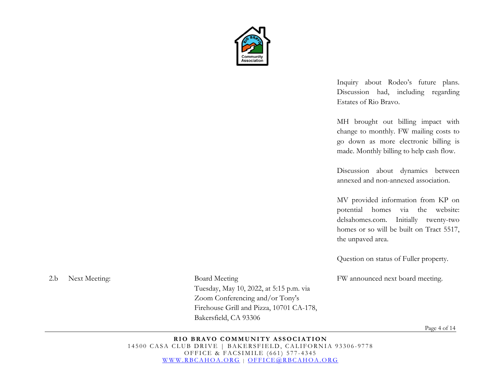

Inquiry about Rodeo's future plans. Discussion had, including regarding Estates of Rio Bravo.

MH brought out billing impact with change to monthly. FW mailing costs to go down as more electronic billing is made. Monthly billing to help cash flow.

Discussion about dynamics between annexed and non-annexed association.

MV provided information from KP on potential homes via the website: delsahomes.com. Initially twenty-two homes or so will be built on Tract 5517, the unpaved area.

Question on status of Fuller property.

FW announced next board meeting.

Page 4 of 14

#### **RIO BRAVO COMMUNITY ASSOCIATION** 14500 CASA CLUB DRIVE | BAKERSFIELD, CALIFORNIA 93306-9778 OFFICE & FACSIMILE (661) 577 - 4345 [WWW.RBCAHOA.ORG](http://www.rbcahoa.org/) | [OFFICE@RBCAHOA.ORG](mailto:OFFICE@RBCAHOA.ORG)

Bakersfield, CA 93306

Tuesday, May 10, 2022, at 5:15 p.m. via Zoom Conferencing and/or Tony's

Firehouse Grill and Pizza, 10701 CA-178,

2.b Next Meeting: Board Meeting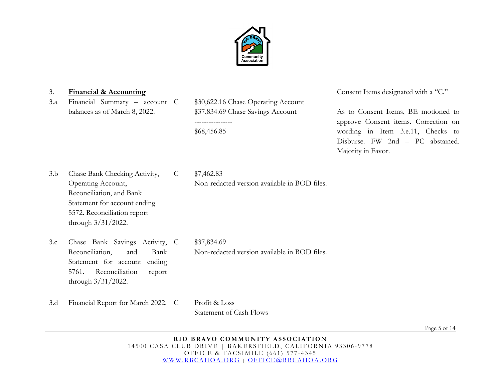

3.a Financial Summary – account balances as of March 8, 2022.

\$30,622.16 Chase Operating Account \$37,834.69 Chase Savings Account ---------------- \$68,456.85

3. **Financial & Accounting** Consent Items designated with a "C."

As to Consent Items, BE motioned to approve Consent items. Correction on wording in Item 3.e.11, Checks to Disburse. FW 2nd – PC abstained. Majority in Favor.

3.b Chase Bank Checking Activity, Operating Account, Reconciliation, and Bank Statement for account ending 5572. Reconciliation report through 3/31/2022.

C \$7,462.83 Non-redacted version available in BOD files.

3.c Chase Bank Savings Activity, Reconciliation, and Bank Statement for account ending 5761. Reconciliation report through 3/31/2022.

C \$37,834.69

Non-redacted version available in BOD files.

3.d Financial Report for March 2022. C Profit & Loss

Statement of Cash Flows

Page 5 of 14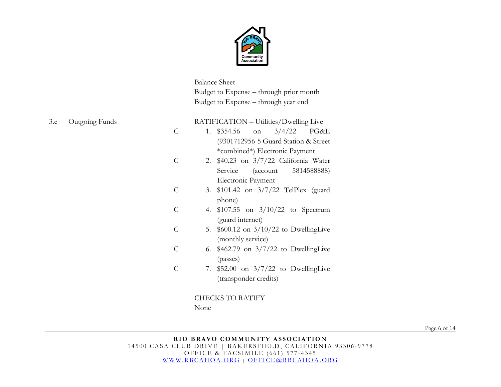

Balance Sheet Budget to Expense – through prior month Budget to Expense – through year end

C C C C C C C RATIFICATION – Utilities/Dwelling Live 1. \$354.56 on 3/4/22 PG&E (9301712956-5 Guard Station & Street \*combined\*) Electronic Payment 2. \$40.23 on 3/7/22 California Water Service (account 5814588888) Electronic Payment 3. \$101.42 on 3/7/22 TelPlex (guard phone) 4. \$107.55 on 3/10/22 to Spectrum (guard internet) 5. \$600.12 on 3/10/22 to DwellingLive (monthly service) 6. \$462.79 on 3/7/22 to DwellingLive (passes) 7. \$52.00 on 3/7/22 to DwellingLive (transponder credits) CHECKS TO RATIFY

None

Page 6 of 14

3.e Outgoing Funds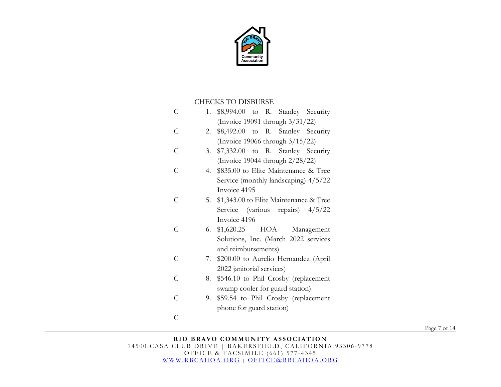

### CHECKS TO DISBURSE

| C              | 1. \$8,994.00 to R. Stanley Security       |
|----------------|--------------------------------------------|
|                | (Invoice 19091 through $3/31/22$ )         |
| C              | 2. \$8,492.00 to R. Stanley Security       |
|                | (Invoice 19066 through $3/15/22$ )         |
| C              | \$7,332.00 to R. Stanley Security<br>3.    |
|                | (Invoice 19044 through $2/28/22$ )         |
| Ċ              | 4. \$835.00 to Elite Maintenance & Tree    |
|                | Service (monthly landscaping) 4/5/22       |
|                | Invoice 4195                               |
| $\subset$      | 5. \$1,343.00 to Elite Maintenance & Tree  |
|                | Service (various repairs) $4/5/22$         |
|                | Invoice 4196                               |
| $\subset$      | 6. $$1,620.25$ HOA<br>Management           |
|                | Solutions, Inc. (March 2022 services       |
|                | and reimbursements)                        |
| Ċ              | \$200.00 to Aurelio Hernandez (April<br>7. |
|                | 2022 janitorial services)                  |
| $\overline{C}$ | \$546.10 to Phil Crosby (replacement<br>8. |
|                | swamp cooler for guard station)            |
| C              | \$59.54 to Phil Crosby (replacement<br>9.  |
|                | phone for guard station)                   |
| C              |                                            |

Page 7 of 14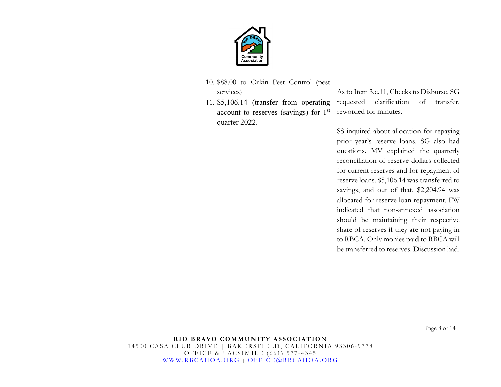

- 10. \$88.00 to Orkin Pest Control (pest services)
- 11. \$5,106.14 (transfer from operating account to reserves (savings) for 1st quarter 2022.

As to Item 3.e.11, Checks to Disburse, SG requested clarification of transfer, reworded for minutes.

SS inquired about allocation for repaying prior year's reserve loans. SG also had questions. MV explained the quarterly reconciliation of reserve dollars collected for current reserves and for repayment of reserve loans. \$5,106.14 was transferred to savings, and out of that, \$2,204.94 was allocated for reserve loan repayment. FW indicated that non-annexed association should be maintaining their respective share of reserves if they are not paying in to RBCA. Only monies paid to RBCA will be transferred to reserves. Discussion had.

Page 8 of 14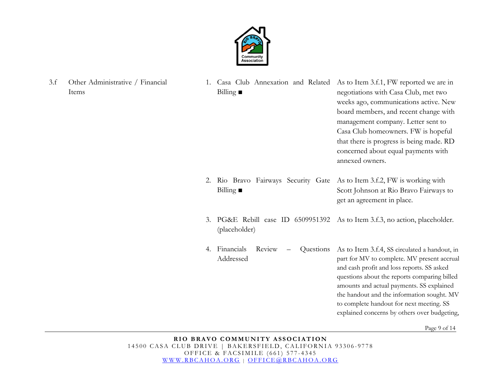

3.f Other Administrative / Financial Items

1. Casa Club Annexation and Related As to Item 3.f.1, FW reported we are in Billing **■**  negotiations with Casa Club, met two

> management company. Letter sent to Casa Club homeowners. FW is hopeful that there is progress is being made. RD concerned about equal payments with annexed owners.

weeks ago, communications active. New board members, and recent change with

amounts and actual payments. SS explained the handout and the information sought. MV to complete handout for next meeting. SS explained concerns by others over budgeting,

- 2. Rio Bravo Fairways Security Gate As to Item 3.f.2, FW is working with Billing **■**  Scott Johnson at Rio Bravo Fairways to get an agreement in place.
- 3. PG&E Rebill case ID 6509951392 As to Item 3.f.3, no action, placeholder. (placeholder)
- 4. Financials Review Questions Addressed As to Item 3.f.4, SS circulated a handout, in part for MV to complete. MV present accrual and cash profit and loss reports. SS asked questions about the reports comparing billed

Page 9 of 14

**RIO BRAVO COMMUNITY ASSOCIATION** 14500 CASA CLUB DRIVE | BAKERSFIELD, CALIFORNIA 93306-9778 OFFICE & FACSIMILE (661) 577 - 4345 [WWW.RBCAHOA.ORG](http://www.rbcahoa.org/) | [OFFICE@RBCAHOA.ORG](mailto:OFFICE@RBCAHOA.ORG)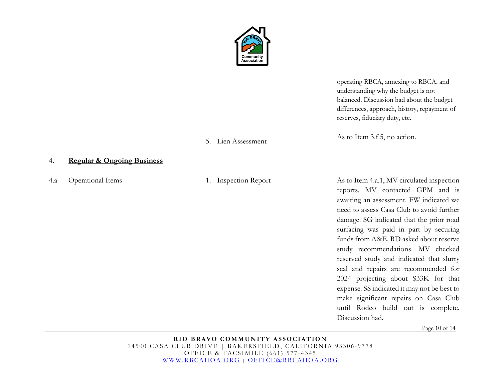

operating RBCA, annexing to RBCA, and understanding why the budget is not balanced. Discussion had about the budget differences, approach, history, repayment of reserves, fiduciary duty, etc.

As to Item 3.f.5, no action.

4.a Operational Items 1. Inspection Report As to Item 4.a.1, MV circulated inspection reports. MV contacted GPM and is awaiting an assessment. FW indicated we need to assess Casa Club to avoid further damage. SG indicated that the prior road surfacing was paid in part by securing funds from A&E. RD asked about reserve study recommendations. MV checked reserved study and indicated that slurry seal and repairs are recommended for 2024 projecting about \$33K for that expense. SS indicated it may not be best to make significant repairs on Casa Club until Rodeo build out is complete. Discussion had.

Page 10 of 14

**RIO BRAVO COMMUNITY ASSOCIATION** 14500 CASA CLUB DRIVE | BAKERSFIELD, CALIFORNIA 93306-9778 OFFICE & FACSIMILE (661) 577 - 4345 [WWW.RBCAHOA.ORG](http://www.rbcahoa.org/) | [OFFICE@RBCAHOA.ORG](mailto:OFFICE@RBCAHOA.ORG)

# 5. Lien Assessment

#### 4. **Regular & Ongoing Business**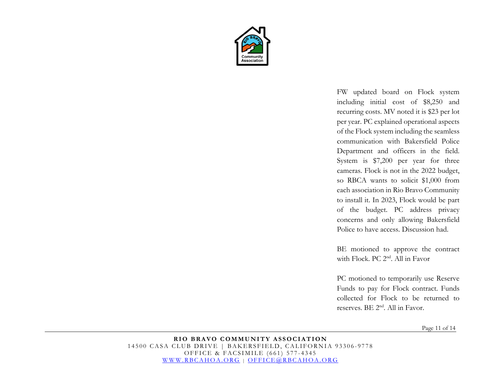

FW updated board on Flock system including initial cost of \$8,250 and recurring costs. MV noted it is \$23 per lot per year. PC explained operational aspects of the Flock system including the seamless communication with Bakersfield Police Department and officers in the field. System is \$7,200 per year for three cameras. Flock is not in the 2022 budget, so RBCA wants to solicit \$1,000 from each association in Rio Bravo Community to install it. In 2023, Flock would be part of the budget. PC address privacy concerns and only allowing Bakersfield Police to have access. Discussion had.

BE motioned to approve the contract with Flock. PC 2<sup>nd</sup>. All in Favor

PC motioned to temporarily use Reserve Funds to pay for Flock contract. Funds collected for Flock to be returned to reserves. BE 2<sup>nd</sup>. All in Favor.

Page 11 of 14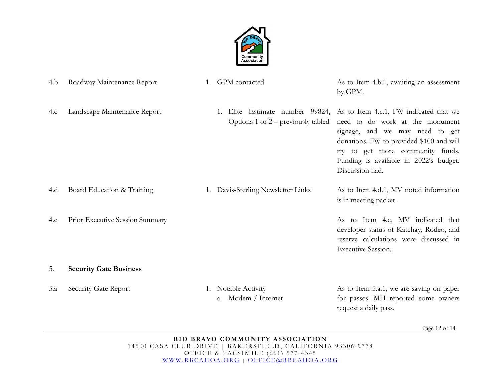

| 4.b | Roadway Maintenance Report      | 1. GPM contacted                           | As to Item 4.b.1, awaiting an assessment<br>by GPM.                                                                                                                                                                                                                                                                           |
|-----|---------------------------------|--------------------------------------------|-------------------------------------------------------------------------------------------------------------------------------------------------------------------------------------------------------------------------------------------------------------------------------------------------------------------------------|
| 4.c | Landscape Maintenance Report    |                                            | Elite Estimate number 99824, As to Item 4.c.1, FW indicated that we<br>Options $1$ or $2$ – previously tabled need to do work at the monument<br>signage, and we may need to get<br>donations. FW to provided \$100 and will<br>try to get more community funds.<br>Funding is available in 2022's budget.<br>Discussion had. |
| 4.d | Board Education & Training      | 1. Davis-Sterling Newsletter Links         | As to Item 4.d.1, MV noted information<br>is in meeting packet.                                                                                                                                                                                                                                                               |
| 4.e | Prior Executive Session Summary |                                            | As to Item 4.e, MV indicated that<br>developer status of Katchay, Rodeo, and<br>reserve calculations were discussed in<br><b>Executive Session.</b>                                                                                                                                                                           |
| 5.  | <b>Security Gate Business</b>   |                                            |                                                                                                                                                                                                                                                                                                                               |
| 5.a | Security Gate Report            | 1. Notable Activity<br>a. Modem / Internet | As to Item 5.a.1, we are saving on paper<br>for passes. MH reported some owners<br>request a daily pass.                                                                                                                                                                                                                      |

Page 12 of 14

**RIO BRAVO COMMUNITY ASSOCIATION** 14500 CASA CLUB DRIVE | BAKERSFIELD, CALIFORNIA 93306-9778 OFFICE & FACSIMILE (661) 577 - 4345 [WWW.RBCAHOA.ORG](http://www.rbcahoa.org/) | [OFFICE@RBCAHOA.ORG](mailto:OFFICE@RBCAHOA.ORG)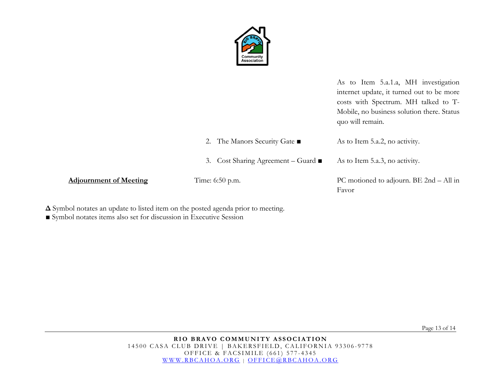

|                               |                                                  | As to Item 5.a.1.a, MH investigation<br>internet update, it turned out to be more<br>costs with Spectrum. MH talked to T-<br>Mobile, no business solution there. Status<br>quo will remain. |
|-------------------------------|--------------------------------------------------|---------------------------------------------------------------------------------------------------------------------------------------------------------------------------------------------|
|                               | 2. The Manors Security Gate ■                    | As to Item 5.a.2, no activity.                                                                                                                                                              |
|                               | 3. Cost Sharing Agreement – Guard $\blacksquare$ | As to Item 5.a.3, no activity.                                                                                                                                                              |
| <b>Adjournment of Meeting</b> | Time: 6:50 p.m.                                  | PC motioned to adjourn. BE $2nd - All in$<br>Favor                                                                                                                                          |

**Δ** Symbol notates an update to listed item on the posted agenda prior to meeting.

■ Symbol notates items also set for discussion in Executive Session